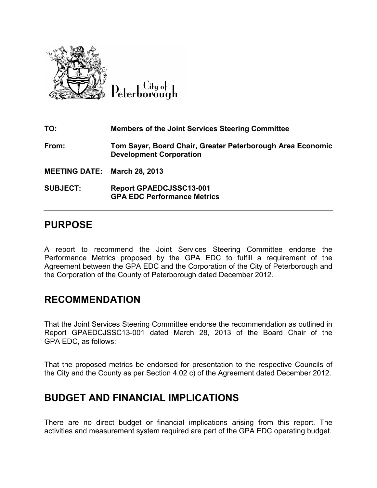

Citu o<del>l</del> Peterborough

**TO: Members of the Joint Services Steering Committee From: Tom Sayer, Board Chair, Greater Peterborough Area Economic Development Corporation MEETING DATE: March 28, 2013 SUBJECT: Report GPAEDCJSSC13-001 GPA EDC Performance Metrics** 

### **PURPOSE**

A report to recommend the Joint Services Steering Committee endorse the Performance Metrics proposed by the GPA EDC to fulfill a requirement of the Agreement between the GPA EDC and the Corporation of the City of Peterborough and the Corporation of the County of Peterborough dated December 2012.

## **RECOMMENDATION**

That the Joint Services Steering Committee endorse the recommendation as outlined in Report GPAEDCJSSC13-001 dated March 28, 2013 of the Board Chair of the GPA EDC, as follows:

That the proposed metrics be endorsed for presentation to the respective Councils of the City and the County as per Section 4.02 c) of the Agreement dated December 2012.

### **BUDGET AND FINANCIAL IMPLICATIONS**

There are no direct budget or financial implications arising from this report. The activities and measurement system required are part of the GPA EDC operating budget.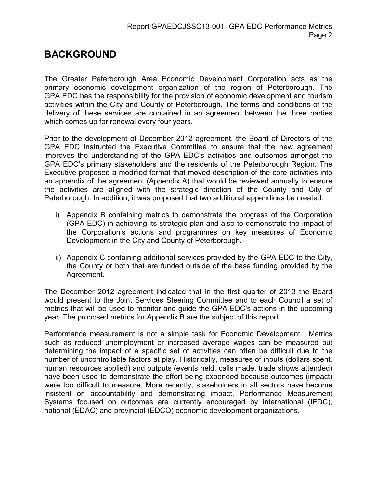# **BACKGROUND**

The Greater Peterborough Area Economic Development Corporation acts as the primary economic development organization of the region of Peterborough. The GPA EDC has the responsibility for the provision of economic development and tourism activities within the City and County of Peterborough. The terms and conditions of the delivery of these services are contained in an agreement between the three parties which comes up for renewal every four years.

Prior to the development of December 2012 agreement, the Board of Directors of the GPA EDC instructed the Executive Committee to ensure that the new agreement improves the understanding of the GPA EDC's activities and outcomes amongst the GPA EDC's primary stakeholders and the residents of the Peterborough Region. The Executive proposed a modified format that moved description of the core activities into an appendix of the agreement (Appendix A) that would be reviewed annually to ensure the activities are aligned with the strategic direction of the County and City of Peterborough. In addition, it was proposed that two additional appendices be created:

- i) Appendix B containing metrics to demonstrate the progress of the Corporation (GPA EDC) in achieving its strategic plan and also to demonstrate the impact of the Corporation's actions and programmes on key measures of Economic Development in the City and County of Peterborough.
- ii) Appendix C containing additional services provided by the GPA EDC to the City, the County or both that are funded outside of the base funding provided by the Agreement.

The December 2012 agreement indicated that in the first quarter of 2013 the Board would present to the Joint Services Steering Committee and to each Council a set of metrics that will be used to monitor and guide the GPA EDC's actions in the upcoming year. The proposed metrics for Appendix B are the subject of this report.

Performance measurement is not a simple task for Economic Development. Metrics such as reduced unemployment or increased average wages can be measured but determining the impact of a specific set of activities can often be difficult due to the number of uncontrollable factors at play. Historically, measures of inputs (dollars spent, human resources applied) and outputs (events held, calls made, trade shows attended) have been used to demonstrate the effort being expended because outcomes (impact) were too difficult to measure. More recently, stakeholders in all sectors have become insistent on accountability and demonstrating impact. Performance Measurement Systems focused on outcomes are currently encouraged by international (IEDC), national (EDAC) and provincial (EDCO) economic development organizations.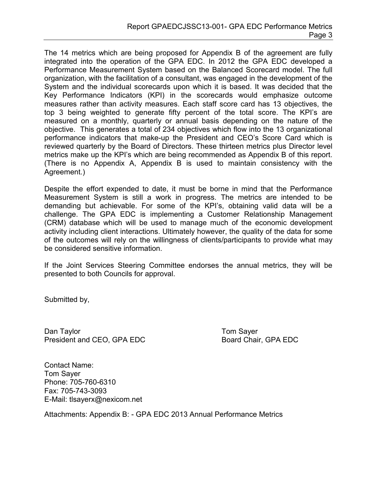The 14 metrics which are being proposed for Appendix B of the agreement are fully integrated into the operation of the GPA EDC. In 2012 the GPA EDC developed a Performance Measurement System based on the Balanced Scorecard model. The full organization, with the facilitation of a consultant, was engaged in the development of the System and the individual scorecards upon which it is based. It was decided that the Key Performance Indicators (KPI) in the scorecards would emphasize outcome measures rather than activity measures. Each staff score card has 13 objectives, the top 3 being weighted to generate fifty percent of the total score. The KPI's are measured on a monthly, quarterly or annual basis depending on the nature of the objective. This generates a total of 234 objectives which flow into the 13 organizational performance indicators that make-up the President and CEO's Score Card which is reviewed quarterly by the Board of Directors. These thirteen metrics plus Director level metrics make up the KPI's which are being recommended as Appendix B of this report. (There is no Appendix A, Appendix B is used to maintain consistency with the Agreement.)

Despite the effort expended to date, it must be borne in mind that the Performance Measurement System is still a work in progress. The metrics are intended to be demanding but achievable. For some of the KPI's, obtaining valid data will be a challenge. The GPA EDC is implementing a Customer Relationship Management (CRM) database which will be used to manage much of the economic development activity including client interactions. Ultimately however, the quality of the data for some of the outcomes will rely on the willingness of clients/participants to provide what may be considered sensitive information.

If the Joint Services Steering Committee endorses the annual metrics, they will be presented to both Councils for approval.

Submitted by,

Dan Taylor **The Community Community** Community Community Community Community Community Community Community Community Community Community Community Community Community Community Community Community Community Community Commu President and CEO, GPA EDC Board Chair, GPA EDC

Contact Name: Tom Sayer Phone: 705-760-6310 Fax: 705-743-3093 E-Mail: tlsayerx@nexicom.net

Attachments: Appendix B: - GPA EDC 2013 Annual Performance Metrics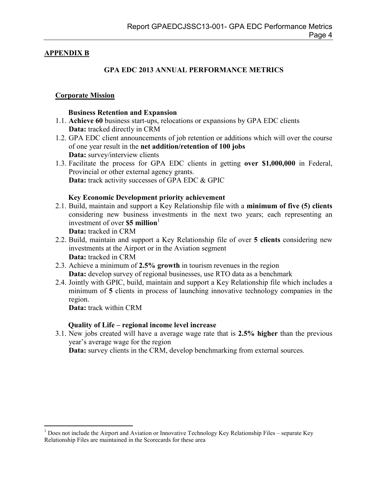#### **APPENDIX B**

### **GPA EDC 2013 ANNUAL PERFORMANCE METRICS**

#### **Corporate Mission**

#### **Business Retention and Expansion**

- 1.1. **Achieve 60** business start-ups, relocations or expansions by GPA EDC clients **Data:** tracked directly in CRM
- 1.2. GPA EDC client announcements of job retention or additions which will over the course of one year result in the **net addition/retention of 100 jobs Data:** survey/interview clients
- 1.3. Facilitate the process for GPA EDC clients in getting **over \$1,000,000** in Federal, Provincial or other external agency grants. **Data:** track activity successes of GPA EDC & GPIC

#### **Key Economic Development priority achievement**

2.1. Build, maintain and support a Key Relationship file with a **minimum of five (5) clients** considering new business investments in the next two years; each representing an investment of over **\$5 million**<sup>1</sup>

**Data:** tracked in CRM

- 2.2. Build, maintain and support a Key Relationship file of over **5 clients** considering new investments at the Airport or in the Aviation segment **Data:** tracked in CRM
- 2.3. Achieve a minimum of **2.5% growth** in tourism revenues in the region **Data:** develop survey of regional businesses, use RTO data as a benchmark
- 2.4. Jointly with GPIC, build, maintain and support a Key Relationship file which includes a minimum of **5** clients in process of launching innovative technology companies in the region.

**Data:** track within CRM

#### **Quality of Life – regional income level increase**

3.1. New jobs created will have a average wage rate that is **2.5% higher** than the previous year's average wage for the region

**Data:** survey clients in the CRM, develop benchmarking from external sources.

 $\overline{a}$ <sup>1</sup> Does not include the Airport and Aviation or Innovative Technology Key Relationship Files – separate Key Relationship Files are maintained in the Scorecards for these area